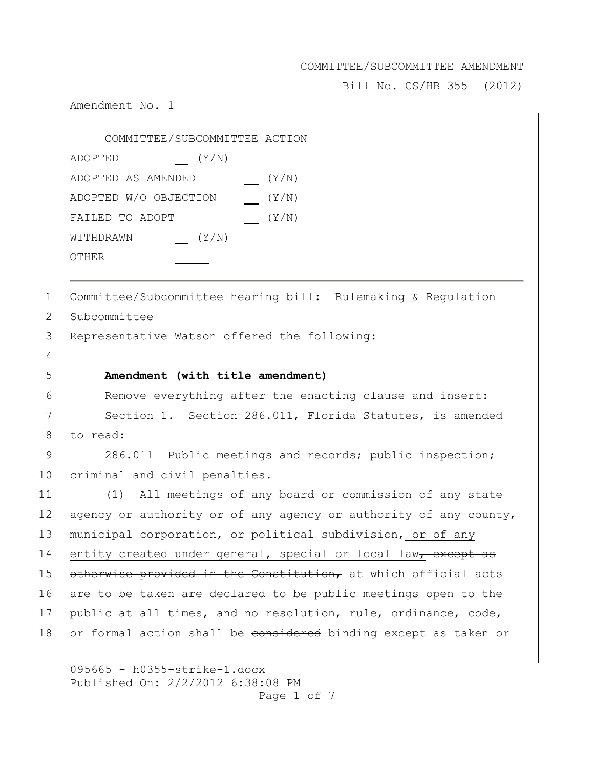Bill No. CS/HB 355 (2012)

Amendment No. 1 095665 - h0355-strike-1.docx Published On: 2/2/2012 6:38:08 PM Page 1 of 7 COMMITTEE/SUBCOMMITTEE ACTION ADOPTED (Y/N) ADOPTED AS AMENDED (Y/N) ADOPTED W/O OBJECTION (Y/N) FAILED TO ADOPT (Y/N) WITHDRAWN (Y/N) OTHER 1 Committee/Subcommittee hearing bill: Rulemaking & Regulation 2 Subcommittee 3 Representative Watson offered the following: 4 5 **Amendment (with title amendment)** 6 Remove everything after the enacting clause and insert: 7 Section 1. Section 286.011, Florida Statutes, is amended 8 to read: 9 286.011 Public meetings and records; public inspection; 10 criminal and civil penalties.— 11 (1) All meetings of any board or commission of any state 12 agency or authority or of any agency or authority of any county, 13 municipal corporation, or political subdivision, or of any 14 entity created under general, special or local law, except as 15 otherwise provided in the Constitution, at which official acts 16 are to be taken are declared to be public meetings open to the 17 public at all times, and no resolution, rule, ordinance, code, 18 or formal action shall be considered binding except as taken or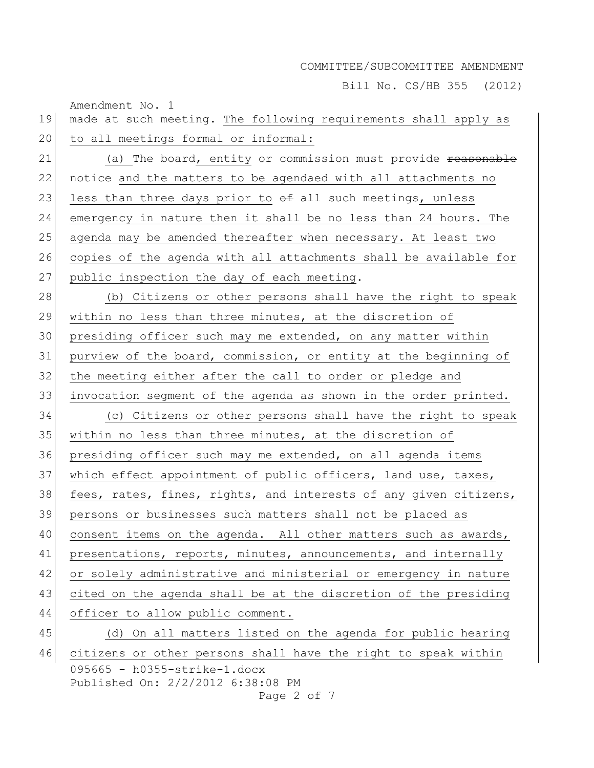Bill No. CS/HB 355 (2012)

Amendment No. 1 095665 - h0355-strike-1.docx Published On: 2/2/2012 6:38:08 PM Page 2 of 7 19 made at such meeting. The following requirements shall apply as 20 to all meetings formal or informal: 21 (a) The board, entity or commission must provide reasonable 22 notice and the matters to be agendaed with all attachments no 23 less than three days prior to  $\theta$  all such meetings, unless 24 emergency in nature then it shall be no less than 24 hours. The 25 agenda may be amended thereafter when necessary. At least two 26 copies of the agenda with all attachments shall be available for 27 public inspection the day of each meeting. 28 (b) Citizens or other persons shall have the right to speak 29 within no less than three minutes, at the discretion of 30 presiding officer such may me extended, on any matter within 31 purview of the board, commission, or entity at the beginning of 32 the meeting either after the call to order or pledge and 33 invocation segment of the agenda as shown in the order printed. 34 (c) Citizens or other persons shall have the right to speak 35 within no less than three minutes, at the discretion of 36 presiding officer such may me extended, on all agenda items 37 which effect appointment of public officers, land use, taxes, 38 fees, rates, fines, rights, and interests of any given citizens, 39 persons or businesses such matters shall not be placed as 40 consent items on the agenda. All other matters such as awards, 41 presentations, reports, minutes, announcements, and internally 42 or solely administrative and ministerial or emergency in nature 43 cited on the agenda shall be at the discretion of the presiding 44 officer to allow public comment. 45 (d) On all matters listed on the agenda for public hearing 46 citizens or other persons shall have the right to speak within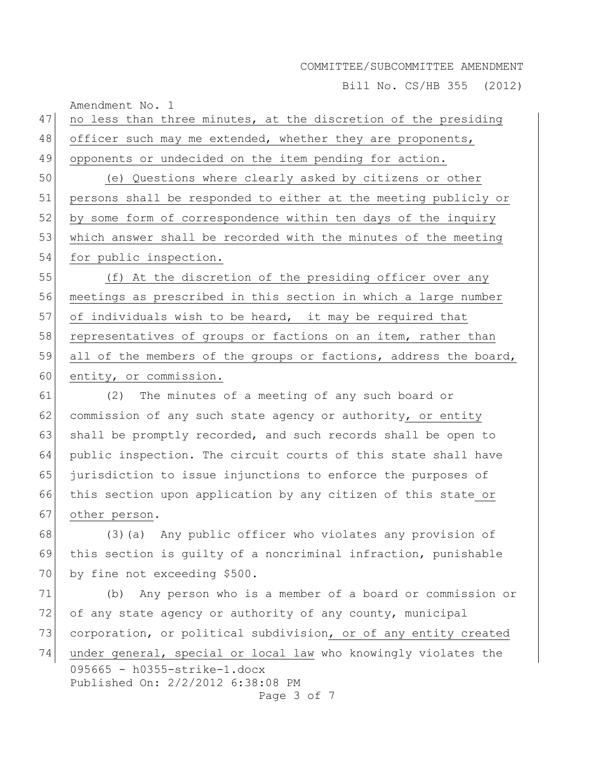Bill No. CS/HB 355 (2012)

| 47 | no less than three minutes, at the discretion of the presiding                   |
|----|----------------------------------------------------------------------------------|
| 48 | officer such may me extended, whether they are proponents,                       |
| 49 | opponents or undecided on the item pending for action.                           |
| 50 | (e) Questions where clearly asked by citizens or other                           |
| 51 | persons shall be responded to either at the meeting publicly or                  |
| 52 | by some form of correspondence within ten days of the inquiry                    |
| 53 | which answer shall be recorded with the minutes of the meeting                   |
| 54 | for public inspection.                                                           |
| 55 | (f) At the discretion of the presiding officer over any                          |
| 56 | meetings as prescribed in this section in which a large number                   |
| 57 | of individuals wish to be heard, it may be required that                         |
| 58 | representatives of groups or factions on an item, rather than                    |
| 59 | all of the members of the groups or factions, address the board,                 |
| 60 | entity, or commission.                                                           |
| 61 | The minutes of a meeting of any such board or<br>(2)                             |
| 62 | commission of any such state agency or authority, or entity                      |
| 63 | shall be promptly recorded, and such records shall be open to                    |
| 64 | public inspection. The circuit courts of this state shall have                   |
| 65 | jurisdiction to issue injunctions to enforce the purposes of                     |
| 66 | this section upon application by any citizen of this state or                    |
| 67 | other person.                                                                    |
| 68 | (3) (a) Any public officer who violates any provision of                         |
| 69 | this section is quilty of a noncriminal infraction, punishable                   |
| 70 | by fine not exceeding \$500.                                                     |
| 71 | Any person who is a member of a board or commission or<br>(b)                    |
| 72 | of any state agency or authority of any county, municipal                        |
| 73 | corporation, or political subdivision, or of any entity created                  |
| 74 | under general, special or local law who knowingly violates the                   |
|    | 095665 - h0355-strike-1.docx<br>Published On: 2/2/2012 6:38:08 PM<br>Page 3 of 7 |

Amendment No. 1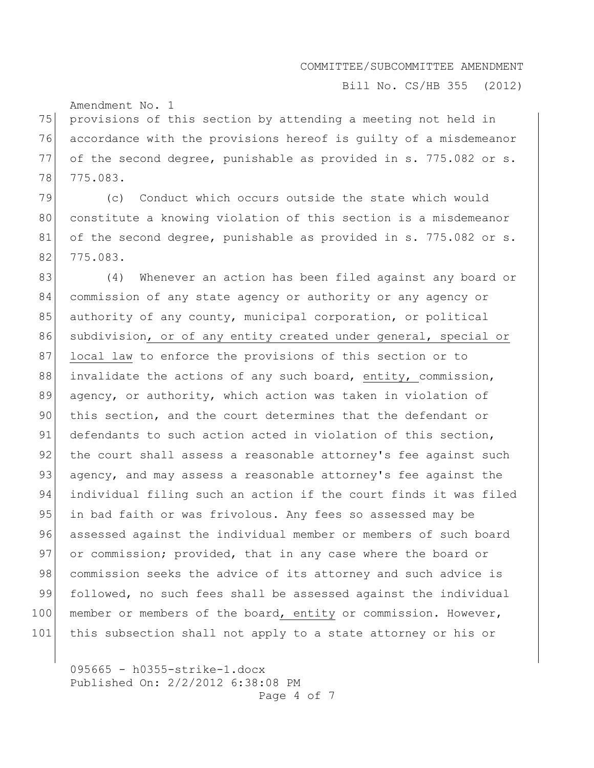Bill No. CS/HB 355 (2012)

Amendment No. 1

75 provisions of this section by attending a meeting not held in 76 accordance with the provisions hereof is guilty of a misdemeanor 77 of the second degree, punishable as provided in s. 775.082 or s. 78 775.083.

79 (c) Conduct which occurs outside the state which would 80 constitute a knowing violation of this section is a misdemeanor 81 of the second degree, punishable as provided in s. 775.082 or s. 82 775.083.

83 (4) Whenever an action has been filed against any board or 84 commission of any state agency or authority or any agency or 85 authority of any county, municipal corporation, or political 86 subdivision, or of any entity created under general, special or 87 local law to enforce the provisions of this section or to 88 invalidate the actions of any such board, entity, commission, 89 agency, or authority, which action was taken in violation of 90 this section, and the court determines that the defendant or 91 defendants to such action acted in violation of this section, 92 the court shall assess a reasonable attorney's fee against such 93 agency, and may assess a reasonable attorney's fee against the 94 individual filing such an action if the court finds it was filed 95 in bad faith or was frivolous. Any fees so assessed may be 96 assessed against the individual member or members of such board 97 or commission; provided, that in any case where the board or 98 commission seeks the advice of its attorney and such advice is 99 followed, no such fees shall be assessed against the individual 100 member or members of the board, entity or commission. However, 101 this subsection shall not apply to a state attorney or his or

095665 - h0355-strike-1.docx Published On: 2/2/2012 6:38:08 PM Page 4 of 7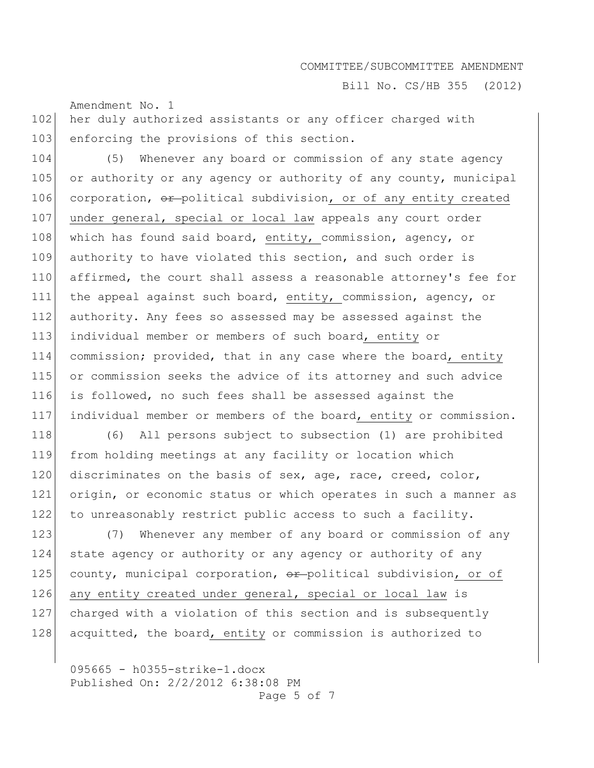Bill No. CS/HB 355 (2012)

102 her duly authorized assistants or any officer charged with 103 enforcing the provisions of this section.

Amendment No. 1

104 (5) Whenever any board or commission of any state agency 105 or authority or any agency or authority of any county, municipal 106 corporation, or political subdivision, or of any entity created 107 under general, special or local law appeals any court order 108 which has found said board, entity, commission, agency, or 109 authority to have violated this section, and such order is 110 affirmed, the court shall assess a reasonable attorney's fee for 111 the appeal against such board, entity, commission, agency, or 112 authority. Any fees so assessed may be assessed against the 113 individual member or members of such board, entity or 114 commission; provided, that in any case where the board, entity 115 or commission seeks the advice of its attorney and such advice 116 is followed, no such fees shall be assessed against the 117 individual member or members of the board, entity or commission.

118 (6) All persons subject to subsection (1) are prohibited 119 from holding meetings at any facility or location which 120 discriminates on the basis of sex, age, race, creed, color, 121 origin, or economic status or which operates in such a manner as 122 to unreasonably restrict public access to such a facility.

123 (7) Whenever any member of any board or commission of any 124 state agency or authority or any agency or authority of any 125 county, municipal corporation, or political subdivision, or of 126 any entity created under general, special or local law is 127 charged with a violation of this section and is subsequently 128 acquitted, the board, entity or commission is authorized to

095665 - h0355-strike-1.docx Published On: 2/2/2012 6:38:08 PM Page 5 of 7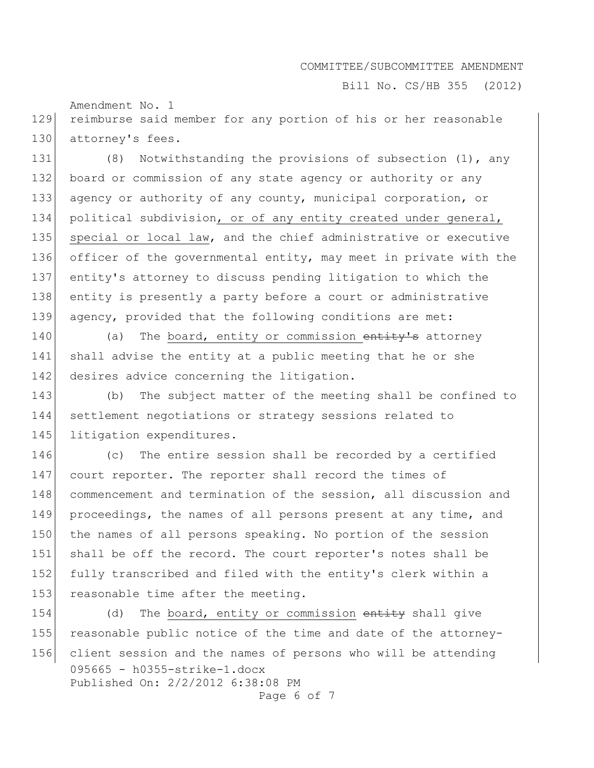Bill No. CS/HB 355 (2012)

Amendment No. 1 129 reimburse said member for any portion of his or her reasonable 130 attorney's fees.

131 (8) Notwithstanding the provisions of subsection (1), any 132 board or commission of any state agency or authority or any 133 agency or authority of any county, municipal corporation, or 134 political subdivision, or of any entity created under general, 135 special or local law, and the chief administrative or executive 136 officer of the governmental entity, may meet in private with the 137 entity's attorney to discuss pending litigation to which the 138 entity is presently a party before a court or administrative 139 agency, provided that the following conditions are met:

140 (a) The board, entity or commission  $\overline{entity's}$  attorney 141 shall advise the entity at a public meeting that he or she 142 desires advice concerning the litigation.

143 (b) The subject matter of the meeting shall be confined to 144 settlement negotiations or strategy sessions related to 145 litigation expenditures.

146 (c) The entire session shall be recorded by a certified 147 court reporter. The reporter shall record the times of 148 commencement and termination of the session, all discussion and 149 proceedings, the names of all persons present at any time, and 150 the names of all persons speaking. No portion of the session 151 shall be off the record. The court reporter's notes shall be 152 fully transcribed and filed with the entity's clerk within a 153 reasonable time after the meeting.

095665 - h0355-strike-1.docx Published On: 2/2/2012 6:38:08 PM Page 6 of 7 154 (d) The board, entity or commission entity shall give 155 reasonable public notice of the time and date of the attorney-156 client session and the names of persons who will be attending